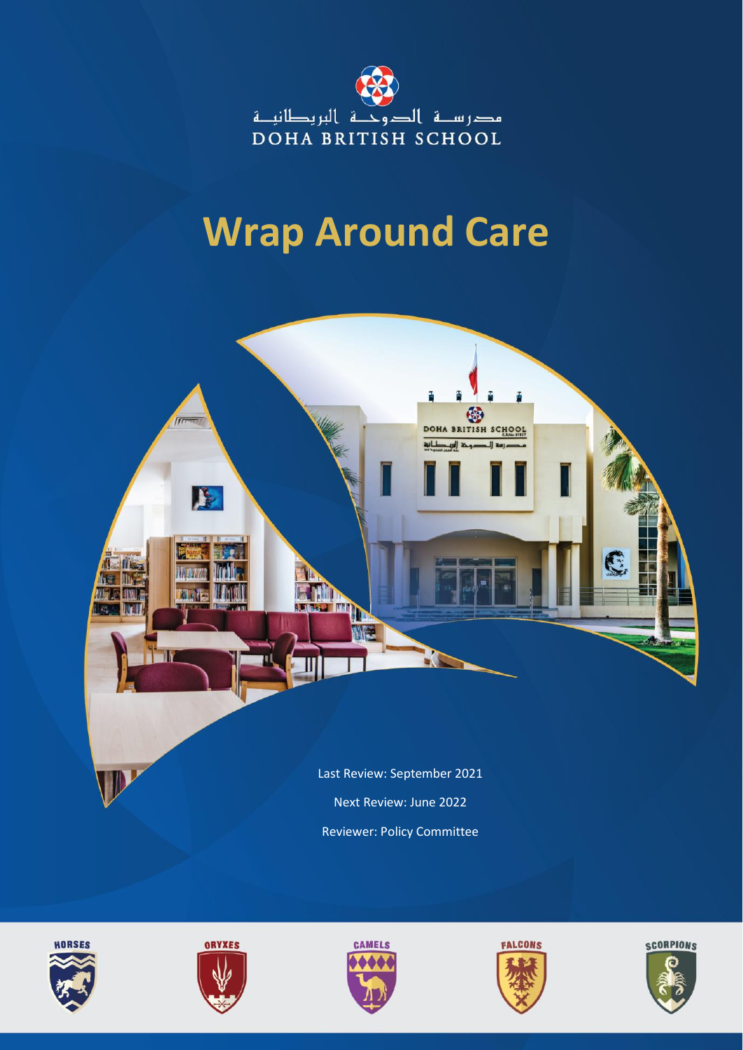

## **Wrap Around Care**











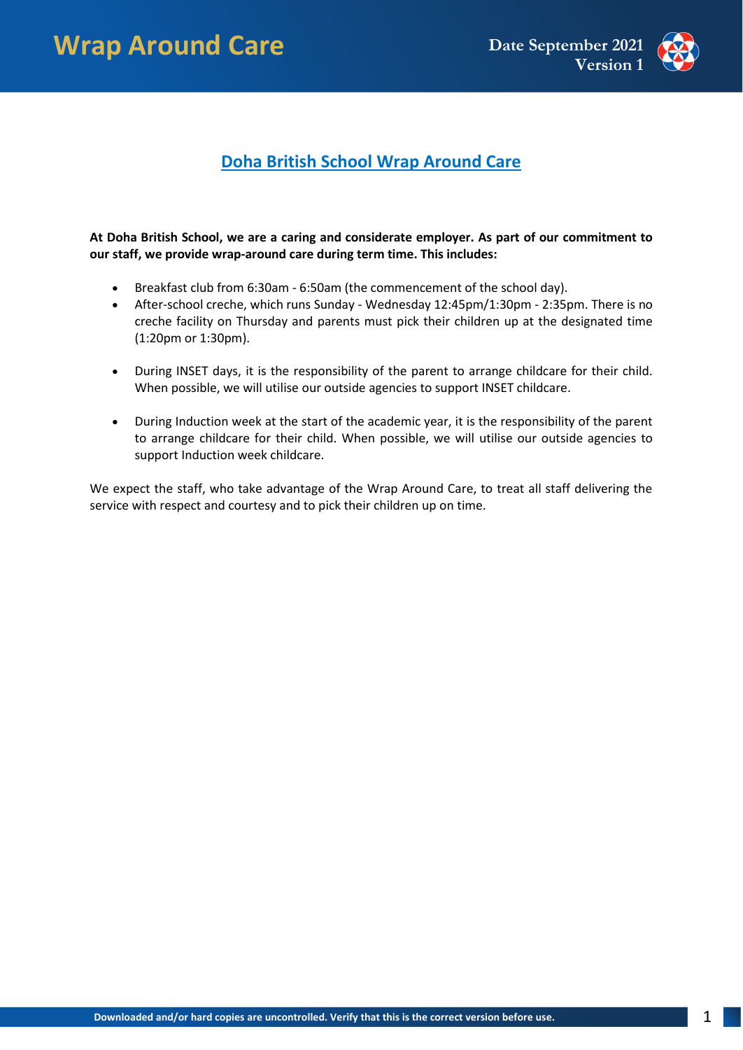

## **Doha British School Wrap Around Care**

## **At Doha British School, we are a caring and considerate employer. As part of our commitment to our staff, we provide wrap-around care during term time. This includes:**

- Breakfast club from 6:30am 6:50am (the commencement of the school day).
- After-school creche, which runs Sunday Wednesday 12:45pm/1:30pm 2:35pm. There is no creche facility on Thursday and parents must pick their children up at the designated time (1:20pm or 1:30pm).
- During INSET days, it is the responsibility of the parent to arrange childcare for their child. When possible, we will utilise our outside agencies to support INSET childcare.
- During Induction week at the start of the academic year, it is the responsibility of the parent to arrange childcare for their child. When possible, we will utilise our outside agencies to support Induction week childcare.

We expect the staff, who take advantage of the Wrap Around Care, to treat all staff delivering the service with respect and courtesy and to pick their children up on time.